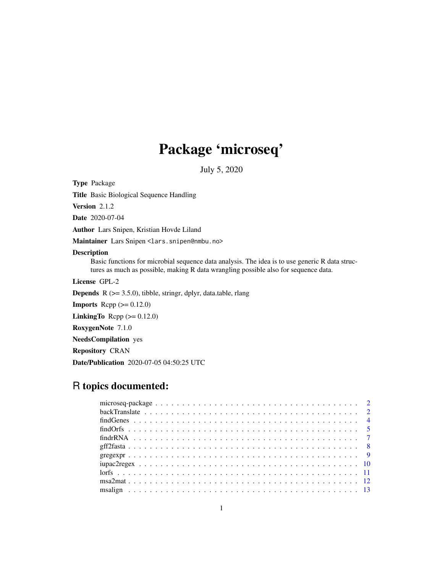# Package 'microseq'

July 5, 2020

<span id="page-0-0"></span>Type Package

Title Basic Biological Sequence Handling

Version 2.1.2

Date 2020-07-04

Author Lars Snipen, Kristian Hovde Liland

Maintainer Lars Snipen <lars.snipen@nmbu.no>

# Description

Basic functions for microbial sequence data analysis. The idea is to use generic R data structures as much as possible, making R data wrangling possible also for sequence data.

License GPL-2

Depends R (>= 3.5.0), tibble, stringr, dplyr, data.table, rlang

**Imports** Rcpp  $(>= 0.12.0)$ 

LinkingTo Rcpp  $(>= 0.12.0)$ 

RoxygenNote 7.1.0

NeedsCompilation yes

Repository CRAN

Date/Publication 2020-07-05 04:50:25 UTC

# R topics documented: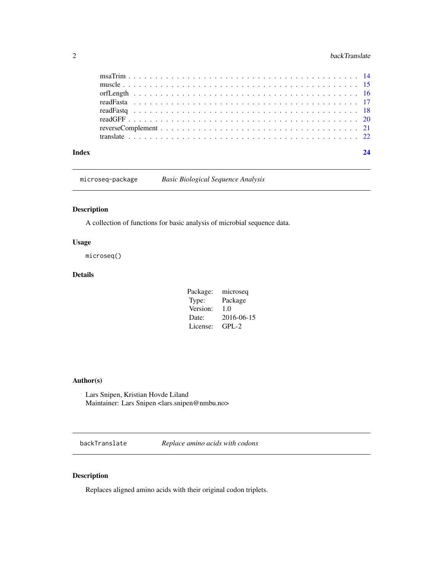<span id="page-1-0"></span>

microseq-package *Basic Biological Sequence Analysis*

# Description

A collection of functions for basic analysis of microbial sequence data.

# Usage

microseq()

# Details

| Package: | microseq   |
|----------|------------|
| Type:    | Package    |
| Version: | 1.0        |
| Date:    | 2016-06-15 |
| License: | $GPL-2$    |
|          |            |

# Author(s)

Lars Snipen, Kristian Hovde Liland Maintainer: Lars Snipen <lars.snipen@nmbu.no>

<span id="page-1-1"></span>backTranslate *Replace amino acids with codons*

# Description

Replaces aligned amino acids with their original codon triplets.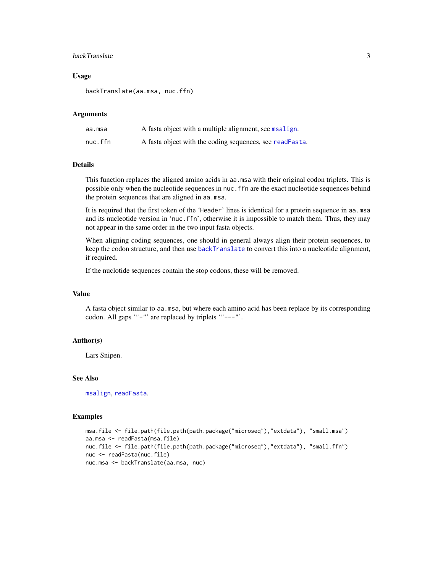# <span id="page-2-0"></span>backTranslate 3

#### Usage

backTranslate(aa.msa, nuc.ffn)

#### **Arguments**

| aa.msa  | A fasta object with a multiple alignment, see msalign.   |
|---------|----------------------------------------------------------|
| nuc.ffn | A fasta object with the coding sequences, see readFasta. |

# Details

This function replaces the aligned amino acids in aa.msa with their original codon triplets. This is possible only when the nucleotide sequences in nuc.ffn are the exact nucleotide sequences behind the protein sequences that are aligned in aa.msa.

It is required that the first token of the 'Header' lines is identical for a protein sequence in aa.msa and its nucleotide version in 'nuc.ffn', otherwise it is impossible to match them. Thus, they may not appear in the same order in the two input fasta objects.

When aligning coding sequences, one should in general always align their protein sequences, to keep the codon structure, and then use [backTranslate](#page-1-1) to convert this into a nucleotide alignment, if required.

If the nuclotide sequences contain the stop codons, these will be removed.

# Value

A fasta object similar to aa.msa, but where each amino acid has been replace by its corresponding codon. All gaps '"-"' are replaced by triplets '"---"'.

#### Author(s)

Lars Snipen.

# See Also

[msalign](#page-12-1), [readFasta](#page-16-1).

#### Examples

```
msa.file <- file.path(file.path(path.package("microseq"),"extdata"), "small.msa")
aa.msa <- readFasta(msa.file)
nuc.file <- file.path(file.path(path.package("microseq"),"extdata"), "small.ffn")
nuc <- readFasta(nuc.file)
nuc.msa <- backTranslate(aa.msa, nuc)
```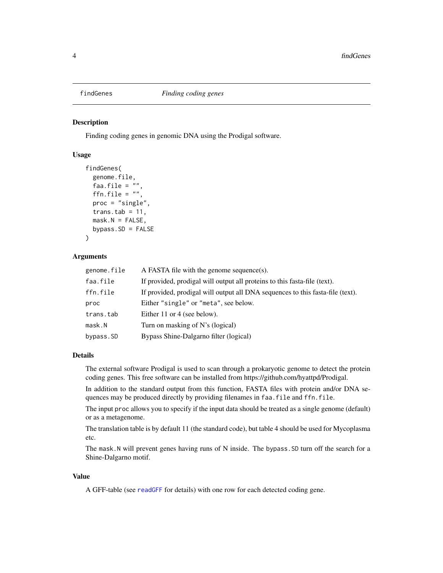<span id="page-3-0"></span>

#### Description

Finding coding genes in genomic DNA using the Prodigal software.

# Usage

```
findGenes(
  genome.file,
  faa.file = ""ffn.file = ",
  proc = "single",
  trans.tab = 11,
  mask.N = FALSE,bypass.SD = FALSE\lambda
```
#### Arguments

| genome.file | A FASTA file with the genome sequence(s).                                      |
|-------------|--------------------------------------------------------------------------------|
| faa.file    | If provided, prodigal will output all proteins to this fasta-file (text).      |
| ffn.file    | If provided, prodigal will output all DNA sequences to this fasta-file (text). |
| proc        | Either "single" or "meta", see below.                                          |
| trans.tab   | Either 11 or 4 (see below).                                                    |
| mask.N      | Turn on masking of N's (logical)                                               |
| bypass.SD   | Bypass Shine-Dalgarno filter (logical)                                         |

#### Details

The external software Prodigal is used to scan through a prokaryotic genome to detect the protein coding genes. This free software can be installed from https://github.com/hyattpd/Prodigal.

In addition to the standard output from this function, FASTA files with protein and/or DNA sequences may be produced directly by providing filenames in faa.file and ffn.file.

The input proc allows you to specify if the input data should be treated as a single genome (default) or as a metagenome.

The translation table is by default 11 (the standard code), but table 4 should be used for Mycoplasma etc.

The mask.N will prevent genes having runs of N inside. The bypass.SD turn off the search for a Shine-Dalgarno motif.

#### Value

A GFF-table (see [readGFF](#page-19-1) for details) with one row for each detected coding gene.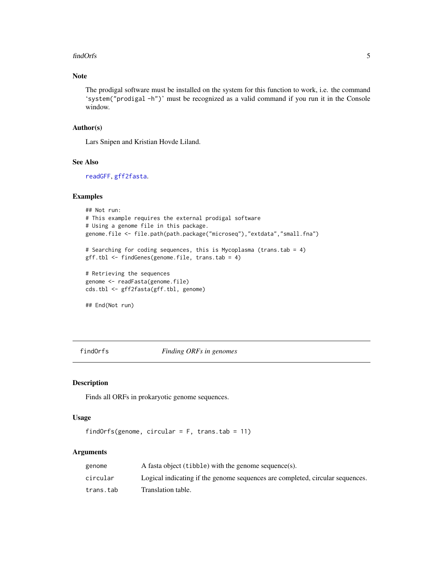#### <span id="page-4-0"></span>findOrfs 5

# Note

The prodigal software must be installed on the system for this function to work, i.e. the command 'system("prodigal -h")' must be recognized as a valid command if you run it in the Console window.

# Author(s)

Lars Snipen and Kristian Hovde Liland.

#### See Also

[readGFF](#page-19-1), [gff2fasta](#page-7-1).

#### Examples

```
## Not run:
# This example requires the external prodigal software
# Using a genome file in this package.
genome.file <- file.path(path.package("microseq"),"extdata","small.fna")
# Searching for coding sequences, this is Mycoplasma (trans.tab = 4)
gff.tbl <- findGenes(genome.file, trans.tab = 4)
# Retrieving the sequences
genome <- readFasta(genome.file)
cds.tbl <- gff2fasta(gff.tbl, genome)
## End(Not run)
```
<span id="page-4-1"></span>findOrfs *Finding ORFs in genomes*

# Description

Finds all ORFs in prokaryotic genome sequences.

# Usage

```
findOrfs(genome, circular = F, trans.tab = 11)
```
# Arguments

| genome    | A fasta object (tibble) with the genome sequence(s).                          |
|-----------|-------------------------------------------------------------------------------|
| circular  | Logical indicating if the genome sequences are completed, circular sequences. |
| trans.tab | Translation table.                                                            |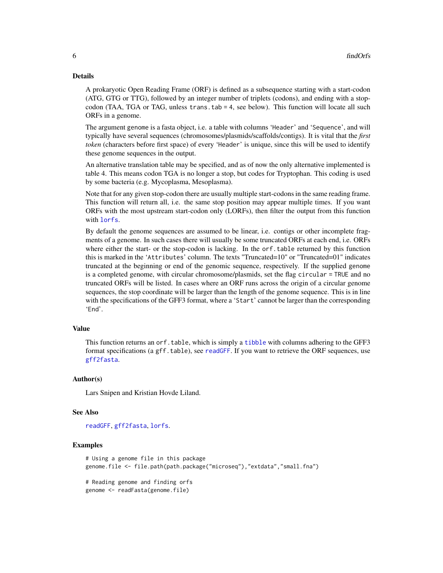#### <span id="page-5-0"></span>Details

A prokaryotic Open Reading Frame (ORF) is defined as a subsequence starting with a start-codon (ATG, GTG or TTG), followed by an integer number of triplets (codons), and ending with a stopcodon (TAA, TGA or TAG, unless trans.tab = 4, see below). This function will locate all such ORFs in a genome.

The argument genome is a fasta object, i.e. a table with columns 'Header' and 'Sequence', and will typically have several sequences (chromosomes/plasmids/scaffolds/contigs). It is vital that the *first token* (characters before first space) of every 'Header' is unique, since this will be used to identify these genome sequences in the output.

An alternative translation table may be specified, and as of now the only alternative implemented is table 4. This means codon TGA is no longer a stop, but codes for Tryptophan. This coding is used by some bacteria (e.g. Mycoplasma, Mesoplasma).

Note that for any given stop-codon there are usually multiple start-codons in the same reading frame. This function will return all, i.e. the same stop position may appear multiple times. If you want ORFs with the most upstream start-codon only (LORFs), then filter the output from this function with [lorfs](#page-10-1).

By default the genome sequences are assumed to be linear, i.e. contigs or other incomplete fragments of a genome. In such cases there will usually be some truncated ORFs at each end, i.e. ORFs where either the start- or the stop-codon is lacking. In the orf.table returned by this function this is marked in the 'Attributes' column. The texts "Truncated=10" or "Truncated=01" indicates truncated at the beginning or end of the genomic sequence, respectively. If the supplied genome is a completed genome, with circular chromosome/plasmids, set the flag circular = TRUE and no truncated ORFs will be listed. In cases where an ORF runs across the origin of a circular genome sequences, the stop coordinate will be larger than the length of the genome sequence. This is in line with the specifications of the GFF3 format, where a 'Start' cannot be larger than the corresponding 'End'.

#### Value

This function returns an orf.table, which is simply a [tibble](#page-0-0) with columns adhering to the GFF3 format specifications (a gff.table), see [readGFF](#page-19-1). If you want to retrieve the ORF sequences, use [gff2fasta](#page-7-1).

#### Author(s)

Lars Snipen and Kristian Hovde Liland.

#### See Also

[readGFF](#page-19-1), [gff2fasta](#page-7-1), [lorfs](#page-10-1).

#### Examples

```
# Using a genome file in this package
genome.file <- file.path(path.package("microseq"),"extdata","small.fna")
# Reading genome and finding orfs
genome <- readFasta(genome.file)
```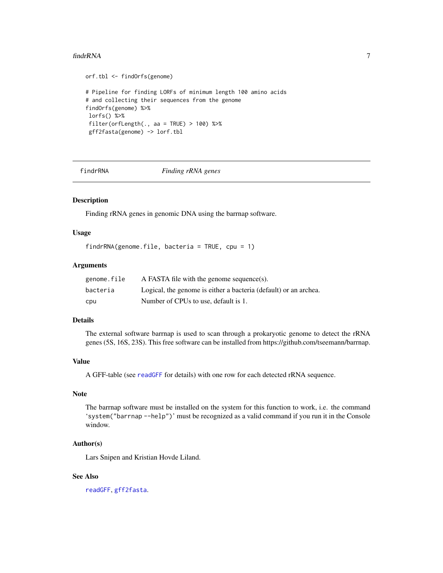#### <span id="page-6-0"></span>findrRNA 7

```
orf.tbl <- findOrfs(genome)
# Pipeline for finding LORFs of minimum length 100 amino acids
# and collecting their sequences from the genome
findOrfs(genome) %>%
lorfs() %>%
filter(orfLength(., aa = TRUE) > 100) %gff2fasta(genome) -> lorf.tbl
```
findrRNA *Finding rRNA genes*

#### Description

Finding rRNA genes in genomic DNA using the barrnap software.

#### Usage

```
findrRNA(genome.file, bacteria = TRUE, cpu = 1)
```
## Arguments

| genome.file | A FASTA file with the genome sequence(s).                        |
|-------------|------------------------------------------------------------------|
| bacteria    | Logical, the genome is either a bacteria (default) or an archea. |
| cpu         | Number of CPUs to use, default is 1.                             |

#### Details

The external software barrnap is used to scan through a prokaryotic genome to detect the rRNA genes (5S, 16S, 23S). This free software can be installed from https://github.com/tseemann/barrnap.

# Value

A GFF-table (see [readGFF](#page-19-1) for details) with one row for each detected rRNA sequence.

# Note

The barrnap software must be installed on the system for this function to work, i.e. the command 'system("barrnap --help")' must be recognized as a valid command if you run it in the Console window.

#### Author(s)

Lars Snipen and Kristian Hovde Liland.

#### See Also

[readGFF](#page-19-1), [gff2fasta](#page-7-1).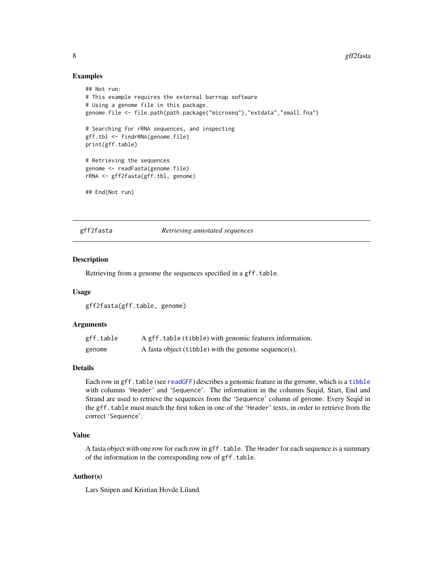### Examples

```
## Not run:
# This example requires the external barrnap software
# Using a genome file in this package.
genome.file <- file.path(path.package("microseq"),"extdata","small.fna")
# Searching for rRNA sequences, and inspecting
gff.tbl <- findrRNA(genome.file)
print(gff.table)
# Retrieving the sequences
genome <- readFasta(genome.file)
rRNA <- gff2fasta(gff.tbl, genome)
## End(Not run)
```
<span id="page-7-1"></span>gff2fasta *Retrieving annotated sequences*

#### **Description**

Retrieving from a genome the sequences specified in a gff.table.

#### Usage

gff2fasta(gff.table, genome)

#### Arguments

| gff.table | A gff. table (tibble) with genomic features information. |
|-----------|----------------------------------------------------------|
| genome    | A fasta object (tibble) with the genome sequence(s).     |

#### Details

Each row in gff.table (see [readGFF](#page-19-1)) describes a genomic feature in the genome, which is a [tibble](#page-0-0) with columns 'Header' and 'Sequence'. The information in the columns Seqid, Start, End and Strand are used to retrieve the sequences from the 'Sequence' column of genome. Every Seqid in the gff.table must match the first token in one of the 'Header' texts, in order to retrieve from the correct 'Sequence'.

# Value

A fasta object with one row for each row in gff. table. The Header for each sequence is a summary of the information in the corresponding row of gff.table.

# Author(s)

Lars Snipen and Kristian Hovde Liland.

<span id="page-7-0"></span>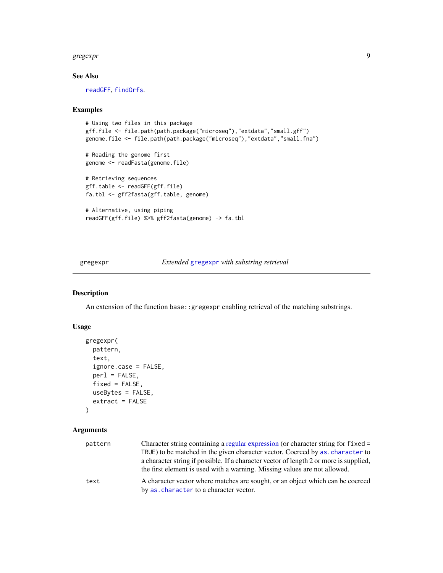#### <span id="page-8-0"></span>gregexpr $\,$  9

# See Also

[readGFF](#page-19-1), [findOrfs](#page-4-1).

# Examples

```
# Using two files in this package
gff.file <- file.path(path.package("microseq"),"extdata","small.gff")
genome.file <- file.path(path.package("microseq"),"extdata","small.fna")
# Reading the genome first
genome <- readFasta(genome.file)
# Retrieving sequences
gff.table <- readGFF(gff.file)
fa.tbl <- gff2fasta(gff.table, genome)
# Alternative, using piping
readGFF(gff.file) %>% gff2fasta(genome) -> fa.tbl
```
<span id="page-8-1"></span>gregexpr *Extended* [gregexpr](#page-8-1) *with substring retrieval*

# Description

An extension of the function base::gregexpr enabling retrieval of the matching substrings.

# Usage

```
gregexpr(
 pattern,
  text,
  ignore.case = FALSE,
  per1 = FALSE,fixed = FALSE,useBytes = FALSE,
  extract = FALSE
)
```
# Arguments

| pattern | Character string containing a regular expression (or character string for fixed =      |
|---------|----------------------------------------------------------------------------------------|
|         | TRUE) to be matched in the given character vector. Coerced by as . character to        |
|         | a character string if possible. If a character vector of length 2 or more is supplied, |
|         | the first element is used with a warning. Missing values are not allowed.              |
| text    | A character vector where matches are sought, or an object which can be coerced         |
|         | by as character to a character vector.                                                 |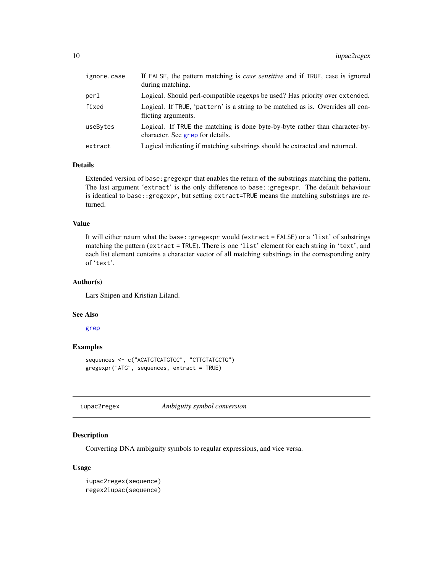<span id="page-9-0"></span>

| ignore.case | If FALSE, the pattern matching is <i>case sensitive</i> and if TRUE, case is ignored<br>during matching.         |
|-------------|------------------------------------------------------------------------------------------------------------------|
| perl        | Logical. Should perl-compatible regexps be used? Has priority over extended.                                     |
| fixed       | Logical. If TRUE, 'pattern' is a string to be matched as is. Overrides all con-<br>flicting arguments.           |
| useBytes    | Logical. If TRUE the matching is done byte-by-byte rather than character-by-<br>character. See grep for details. |
| extract     | Logical indicating if matching substrings should be extracted and returned.                                      |
|             |                                                                                                                  |

# Details

Extended version of base:gregexpr that enables the return of the substrings matching the pattern. The last argument 'extract' is the only difference to base::gregexpr. The default behaviour is identical to base::gregexpr, but setting extract=TRUE means the matching substrings are returned.

#### Value

It will either return what the base::gregexpr would (extract = FALSE) or a 'list' of substrings matching the pattern (extract = TRUE). There is one 'list' element for each string in 'text', and each list element contains a character vector of all matching substrings in the corresponding entry of 'text'.

# Author(s)

Lars Snipen and Kristian Liland.

#### See Also

[grep](#page-0-0)

#### Examples

sequences <- c("ACATGTCATGTCC", "CTTGTATGCTG") gregexpr("ATG", sequences, extract = TRUE)

<span id="page-9-1"></span>iupac2regex *Ambiguity symbol conversion*

#### <span id="page-9-2"></span>Description

Converting DNA ambiguity symbols to regular expressions, and vice versa.

#### Usage

```
iupac2regex(sequence)
regex2iupac(sequence)
```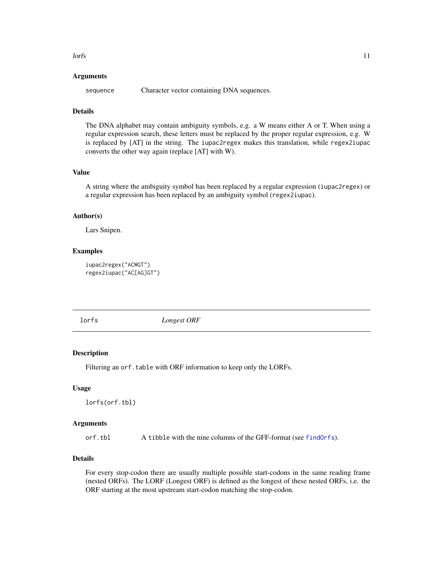<span id="page-10-0"></span> $\frac{11}{11}$ 

#### Arguments

sequence Character vector containing DNA sequences.

# Details

The DNA alphabet may contain ambiguity symbols, e.g. a W means either A or T. When using a regular expression search, these letters must be replaced by the proper regular expression, e.g. W is replaced by [AT] in the string. The iupac2regex makes this translation, while regex2iupac converts the other way again (replace [AT] with W).

#### Value

A string where the ambiguity symbol has been replaced by a regular expression (iupac2regex) or a regular expression has been replaced by an ambiguity symbol (regex2iupac).

#### Author(s)

Lars Snipen.

# Examples

```
iupac2regex("ACWGT")
regex2iupac("AC[AG]GT")
```
<span id="page-10-1"></span>

lorfs *Longest ORF*

#### **Description**

Filtering an orf.table with ORF information to keep only the LORFs.

#### Usage

lorfs(orf.tbl)

#### Arguments

orf.tbl A tibble with the nine columns of the GFF-format (see [findOrfs](#page-4-1)).

# Details

For every stop-codon there are usually multiple possible start-codons in the same reading frame (nested ORFs). The LORF (Longest ORF) is defined as the longest of these nested ORFs, i.e. the ORF starting at the most upstream start-codon matching the stop-codon.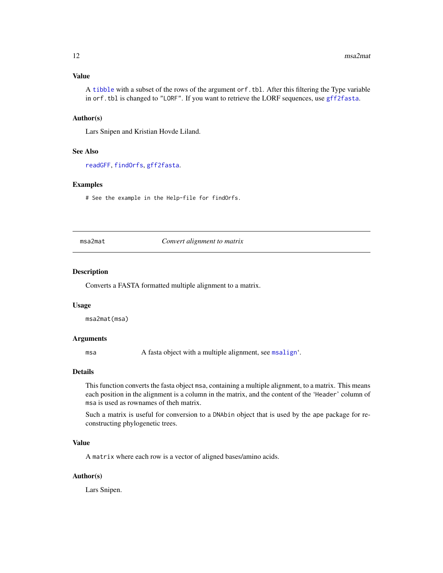# <span id="page-11-0"></span>Value

A [tibble](#page-0-0) with a subset of the rows of the argument orf.tbl. After this filtering the Type variable in orf.tbl is changed to "LORF". If you want to retrieve the LORF sequences, use [gff2fasta](#page-7-1).

#### Author(s)

Lars Snipen and Kristian Hovde Liland.

# See Also

[readGFF](#page-19-1), [findOrfs](#page-4-1), [gff2fasta](#page-7-1).

#### Examples

# See the example in the Help-file for findOrfs.

msa2mat *Convert alignment to matrix*

#### Description

Converts a FASTA formatted multiple alignment to a matrix.

#### Usage

msa2mat(msa)

#### Arguments

msa A fasta object with a multiple alignment, see [msalign](#page-12-1)'.

#### Details

This function converts the fasta object msa, containing a multiple alignment, to a matrix. This means each position in the alignment is a column in the matrix, and the content of the 'Header' column of msa is used as rownames of theh matrix.

Such a matrix is useful for conversion to a DNAbin object that is used by the ape package for reconstructing phylogenetic trees.

# Value

A matrix where each row is a vector of aligned bases/amino acids.

#### Author(s)

Lars Snipen.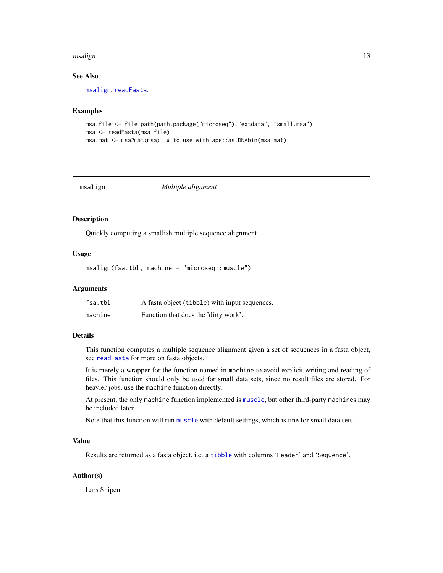#### <span id="page-12-0"></span>msalign the contract of the contract of the contract of the contract of the contract of the contract of the contract of the contract of the contract of the contract of the contract of the contract of the contract of the co

# See Also

[msalign](#page-12-1), [readFasta](#page-16-1).

#### Examples

```
msa.file <- file.path(path.package("microseq"),"extdata", "small.msa")
msa <- readFasta(msa.file)
msa.mat <- msa2mat(msa) # to use with ape::as.DNAbin(msa.mat)
```
<span id="page-12-1"></span>

| msail | gη |  |
|-------|----|--|
|-------|----|--|

#### $Multiple$  *alignment*

# Description

Quickly computing a smallish multiple sequence alignment.

#### Usage

msalign(fsa.tbl, machine = "microseq::muscle")

#### **Arguments**

| fsa.tbl | A fasta object (tibble) with input sequences. |
|---------|-----------------------------------------------|
| machine | Function that does the 'dirty work'.          |

# Details

This function computes a multiple sequence alignment given a set of sequences in a fasta object, see [readFasta](#page-16-1) for more on fasta objects.

It is merely a wrapper for the function named in machine to avoid explicit writing and reading of files. This function should only be used for small data sets, since no result files are stored. For heavier jobs, use the machine function directly.

At present, the only machine function implemented is [muscle](#page-14-1), but other third-party machines may be included later.

Note that this function will run [muscle](#page-14-1) with default settings, which is fine for small data sets.

#### Value

Results are returned as a fasta object, i.e. a [tibble](#page-0-0) with columns 'Header' and 'Sequence'.

#### Author(s)

Lars Snipen.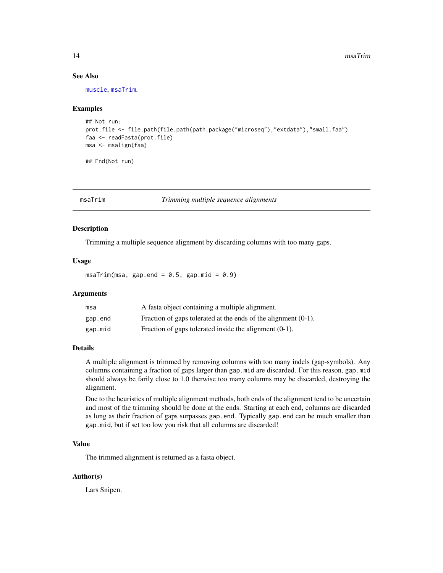#### <span id="page-13-0"></span>See Also

[muscle](#page-14-1), [msaTrim](#page-13-1).

#### Examples

```
## Not run:
prot.file <- file.path(file.path(path.package("microseq"),"extdata"),"small.faa")
faa <- readFasta(prot.file)
msa <- msalign(faa)
```
## End(Not run)

<span id="page-13-1"></span>

msaTrim *Trimming multiple sequence alignments*

#### Description

Trimming a multiple sequence alignment by discarding columns with too many gaps.

#### Usage

 $msaTrim(msa, gap.end = 0.5, gap.mid = 0.9)$ 

#### Arguments

| msa     | A fasta object containing a multiple alignment.                   |
|---------|-------------------------------------------------------------------|
| gap.end | Fraction of gaps tolerated at the ends of the alignment $(0-1)$ . |
| gap.mid | Fraction of gaps tolerated inside the alignment $(0-1)$ .         |

#### Details

A multiple alignment is trimmed by removing columns with too many indels (gap-symbols). Any columns containing a fraction of gaps larger than gap.mid are discarded. For this reason, gap.mid should always be farily close to 1.0 therwise too many columns may be discarded, destroying the alignment.

Due to the heuristics of multiple alignment methods, both ends of the alignment tend to be uncertain and most of the trimming should be done at the ends. Starting at each end, columns are discarded as long as their fraction of gaps surpasses gap.end. Typically gap.end can be much smaller than gap.mid, but if set too low you risk that all columns are discarded!

# Value

The trimmed alignment is returned as a fasta object.

# Author(s)

Lars Snipen.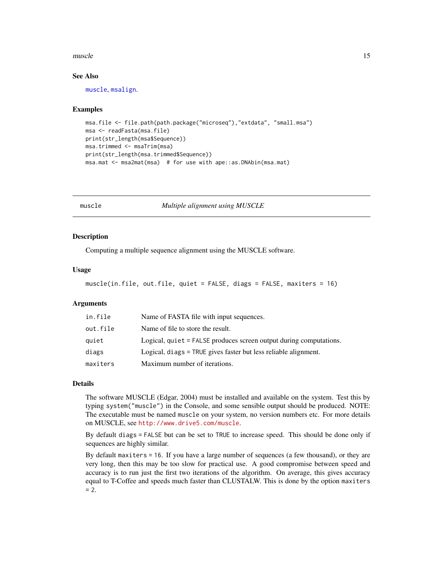#### <span id="page-14-0"></span>muscle to the contract of the contract of the contract of the contract of the contract of the contract of the contract of the contract of the contract of the contract of the contract of the contract of the contract of the

#### See Also

[muscle](#page-14-1), [msalign](#page-12-1).

#### Examples

```
msa.file <- file.path(path.package("microseq"),"extdata", "small.msa")
msa <- readFasta(msa.file)
print(str_length(msa$Sequence))
msa.trimmed <- msaTrim(msa)
print(str_length(msa.trimmed$Sequence))
msa.mat <- msa2mat(msa) # for use with ape::as.DNAbin(msa.mat)
```
<span id="page-14-1"></span>

muscle *Multiple alignment using MUSCLE*

#### **Description**

Computing a multiple sequence alignment using the MUSCLE software.

#### Usage

```
muscle(in.file, out.file, quiet = FALSE, diags = FALSE, maxiters = 16)
```
#### Arguments

| in.file  | Name of FASTA file with input sequences.                           |
|----------|--------------------------------------------------------------------|
| out.file | Name of file to store the result.                                  |
| quiet    | Logical, quiet = FALSE produces screen output during computations. |
| diags    | Logical, diags = TRUE gives faster but less reliable alignment.    |
| maxiters | Maximum number of iterations.                                      |

#### Details

The software MUSCLE (Edgar, 2004) must be installed and available on the system. Test this by typing system("muscle") in the Console, and some sensible output should be produced. NOTE: The executable must be named muscle on your system, no version numbers etc. For more details on MUSCLE, see <http://www.drive5.com/muscle>.

By default diags = FALSE but can be set to TRUE to increase speed. This should be done only if sequences are highly similar.

By default maxiters = 16. If you have a large number of sequences (a few thousand), or they are very long, then this may be too slow for practical use. A good compromise between speed and accuracy is to run just the first two iterations of the algorithm. On average, this gives accuracy equal to T-Coffee and speeds much faster than CLUSTALW. This is done by the option maxiters  $= 2.$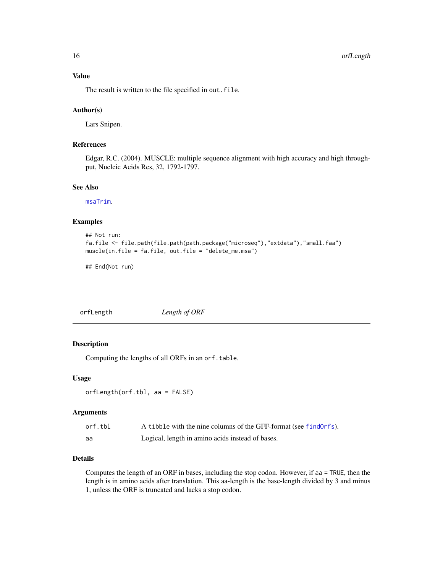<span id="page-15-0"></span>16 or the contract of the contract of the contract of the contract of the contract of the contract of the contract of the contract of the contract of the contract of the contract of the contract of the contract of the cont

#### Value

The result is written to the file specified in out.file.

#### Author(s)

Lars Snipen.

#### References

Edgar, R.C. (2004). MUSCLE: multiple sequence alignment with high accuracy and high throughput, Nucleic Acids Res, 32, 1792-1797.

# See Also

[msaTrim](#page-13-1).

#### Examples

```
## Not run:
fa.file <- file.path(file.path(path.package("microseq"),"extdata"),"small.faa")
muscle(in.file = fa.file, out.file = "delete_me.msa")
```
## End(Not run)

orfLength *Length of ORF*

#### Description

Computing the lengths of all ORFs in an orf.table.

#### Usage

orfLength(orf.tbl, aa = FALSE)

#### Arguments

| orf.tbl | A tibble with the nine columns of the GFF-format (see find Orfs). |
|---------|-------------------------------------------------------------------|
| aa      | Logical, length in amino acids instead of bases.                  |

# Details

Computes the length of an ORF in bases, including the stop codon. However, if aa = TRUE, then the length is in amino acids after translation. This aa-length is the base-length divided by 3 and minus 1, unless the ORF is truncated and lacks a stop codon.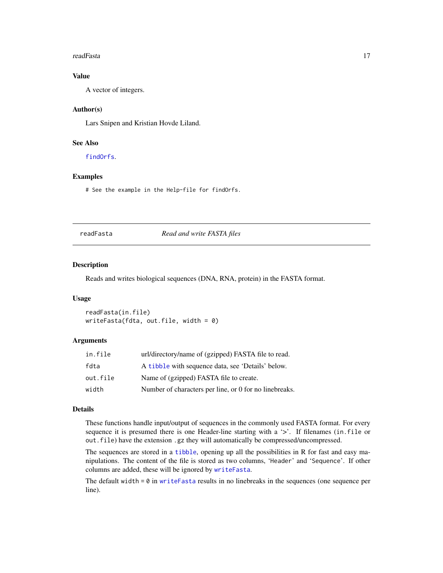#### <span id="page-16-0"></span>readFasta 17

# Value

A vector of integers.

# Author(s)

Lars Snipen and Kristian Hovde Liland.

# See Also

[findOrfs](#page-4-1).

# Examples

# See the example in the Help-file for findOrfs.

<span id="page-16-1"></span>readFasta *Read and write FASTA files*

# <span id="page-16-2"></span>Description

Reads and writes biological sequences (DNA, RNA, protein) in the FASTA format.

# Usage

readFasta(in.file) writeFasta(fdta, out.file, width =  $0$ )

#### Arguments

| in.file  | url/directory/name of (gzipped) FASTA file to read.    |
|----------|--------------------------------------------------------|
| fdta     | A tibble with sequence data, see 'Details' below.      |
| out.file | Name of (gzipped) FASTA file to create.                |
| width    | Number of characters per line, or 0 for no linebreaks. |

# Details

These functions handle input/output of sequences in the commonly used FASTA format. For every sequence it is presumed there is one Header-line starting with a '>'. If filenames (in.file or out.file) have the extension .gz they will automatically be compressed/uncompressed.

The sequences are stored in a [tibble](#page-0-0), opening up all the possibilities in R for fast and easy manipulations. The content of the file is stored as two columns, 'Header' and 'Sequence'. If other columns are added, these will be ignored by [writeFasta](#page-16-2).

The default width  $= 0$  in [writeFasta](#page-16-2) results in no linebreaks in the sequences (one sequence per line).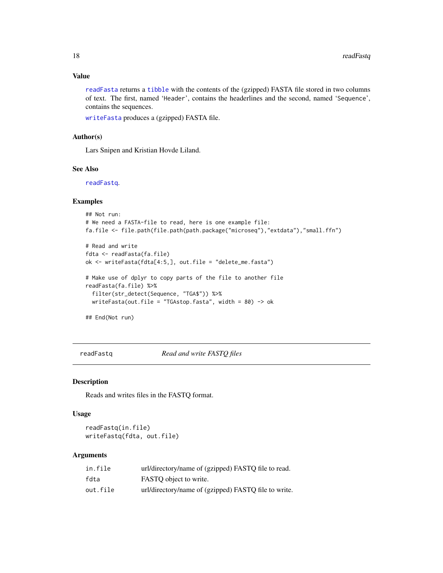# <span id="page-17-0"></span>Value

[readFasta](#page-16-1) returns a [tibble](#page-0-0) with the contents of the (gzipped) FASTA file stored in two columns of text. The first, named 'Header', contains the headerlines and the second, named 'Sequence', contains the sequences.

[writeFasta](#page-16-2) produces a (gzipped) FASTA file.

### Author(s)

Lars Snipen and Kristian Hovde Liland.

#### See Also

[readFastq](#page-17-1).

#### Examples

```
## Not run:
# We need a FASTA-file to read, here is one example file:
fa.file <- file.path(file.path(path.package("microseq"),"extdata"),"small.ffn")
# Read and write
fdta <- readFasta(fa.file)
ok <- writeFasta(fdta[4:5,], out.file = "delete_me.fasta")
# Make use of dplyr to copy parts of the file to another file
readFasta(fa.file) %>%
 filter(str_detect(Sequence, "TGA$")) %>%
 writeFasta(out.file = "TGAstop.fasta", width = 80) -> ok
```
## End(Not run)

<span id="page-17-1"></span>readFastq *Read and write FASTQ files*

#### <span id="page-17-2"></span>Description

Reads and writes files in the FASTQ format.

#### Usage

readFastq(in.file) writeFastq(fdta, out.file)

#### Arguments

| in.file  | url/directory/name of (gzipped) FASTQ file to read.  |
|----------|------------------------------------------------------|
| fdta     | FASTO object to write.                               |
| out.file | url/directory/name of (gzipped) FASTQ file to write. |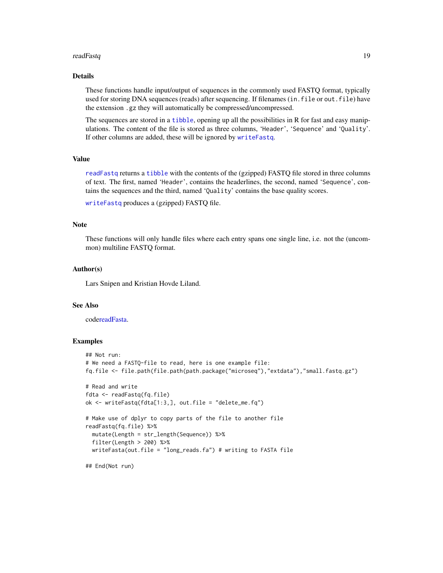#### <span id="page-18-0"></span>readFastq in the set of the set of the set of the set of the set of the set of the set of the set of the set of the set of the set of the set of the set of the set of the set of the set of the set of the set of the set of

#### Details

These functions handle input/output of sequences in the commonly used FASTQ format, typically used for storing DNA sequences (reads) after sequencing. If filenames (in.file or out.file) have the extension .gz they will automatically be compressed/uncompressed.

The sequences are stored in a [tibble](#page-0-0), opening up all the possibilities in R for fast and easy manipulations. The content of the file is stored as three columns, 'Header', 'Sequence' and 'Quality'. If other columns are added, these will be ignored by [writeFastq](#page-17-2).

# Value

[readFastq](#page-17-1) returns a [tibble](#page-0-0) with the contents of the (gzipped) FASTQ file stored in three columns of text. The first, named 'Header', contains the headerlines, the second, named 'Sequence', contains the sequences and the third, named 'Quality' contains the base quality scores.

```
writeFastq produces a (gzipped) FASTQ file.
```
#### **Note**

These functions will only handle files where each entry spans one single line, i.e. not the (uncommon) multiline FASTQ format.

#### Author(s)

Lars Snipen and Kristian Hovde Liland.

#### See Also

cod[ereadFasta.](#page-16-1)

# Examples

```
## Not run:
# We need a FASTQ-file to read, here is one example file:
fq.file <- file.path(file.path(path.package("microseq"),"extdata"),"small.fastq.gz")
# Read and write
fdta <- readFastq(fq.file)
ok <- writeFastq(fdta[1:3,], out.file = "delete_me.fq")
# Make use of dplyr to copy parts of the file to another file
readFastq(fq.file) %>%
 mutate(Length = str_length(Sequence)) %>%
 filter(Length > 200) %>%
 writeFasta(out.file = "long_reads.fa") # writing to FASTA file
## End(Not run)
```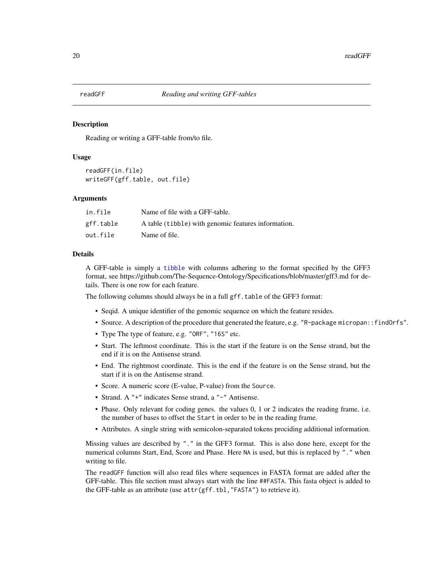<span id="page-19-1"></span><span id="page-19-0"></span>

#### Description

Reading or writing a GFF-table from/to file.

#### Usage

```
readGFF(in.file)
writeGFF(gff.table, out.file)
```
#### Arguments

| in.file   | Name of file with a GFF-table.                      |
|-----------|-----------------------------------------------------|
| gff.table | A table (tibble) with genomic features information. |
| out.file  | Name of file.                                       |

# Details

A GFF-table is simply a [tibble](#page-0-0) with columns adhering to the format specified by the GFF3 format, see https://github.com/The-Sequence-Ontology/Specifications/blob/master/gff3.md for details. There is one row for each feature.

The following columns should always be in a full gff.table of the GFF3 format:

- Seqid. A unique identifier of the genomic sequence on which the feature resides.
- Source. A description of the procedure that generated the feature, e.g. "R-package micropan::findOrfs".
- Type The type of feature, e.g. "ORF", "16S" etc.
- Start. The leftmost coordinate. This is the start if the feature is on the Sense strand, but the end if it is on the Antisense strand.
- End. The rightmost coordinate. This is the end if the feature is on the Sense strand, but the start if it is on the Antisense strand.
- Score. A numeric score (E-value, P-value) from the Source.
- Strand. A "+" indicates Sense strand, a "-" Antisense.
- Phase. Only relevant for coding genes. the values 0, 1 or 2 indicates the reading frame, i.e. the number of bases to offset the Start in order to be in the reading frame.
- Attributes. A single string with semicolon-separated tokens prociding additional information.

Missing values are described by "." in the GFF3 format. This is also done here, except for the numerical columns Start, End, Score and Phase. Here NA is used, but this is replaced by "." when writing to file.

The readGFF function will also read files where sequences in FASTA format are added after the GFF-table. This file section must always start with the line ##FASTA. This fasta object is added to the GFF-table as an attribute (use attr(gff.tbl,"FASTA") to retrieve it).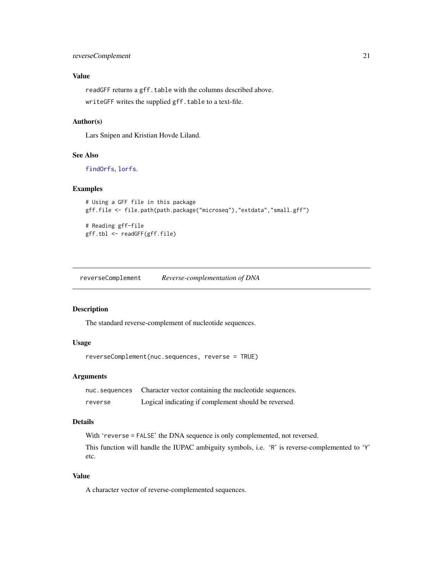# <span id="page-20-0"></span>reverseComplement 21

# Value

readGFF returns a gff.table with the columns described above. writeGFF writes the supplied gff.table to a text-file.

### Author(s)

Lars Snipen and Kristian Hovde Liland.

# See Also

[findOrfs](#page-4-1), [lorfs](#page-10-1).

# Examples

```
# Using a GFF file in this package
gff.file <- file.path(path.package("microseq"),"extdata","small.gff")
# Reading gff-file
gff.tbl <- readGFF(gff.file)
```
reverseComplement *Reverse-complementation of DNA*

#### Description

The standard reverse-complement of nucleotide sequences.

# Usage

reverseComplement(nuc.sequences, reverse = TRUE)

### Arguments

| nuc.sequences | Character vector containing the nucleotide sequences. |
|---------------|-------------------------------------------------------|
| reverse       | Logical indicating if complement should be reversed.  |

#### Details

With 'reverse = FALSE' the DNA sequence is only complemented, not reversed.

This function will handle the IUPAC ambiguity symbols, i.e. 'R' is reverse-complemented to 'Y' etc.

# Value

A character vector of reverse-complemented sequences.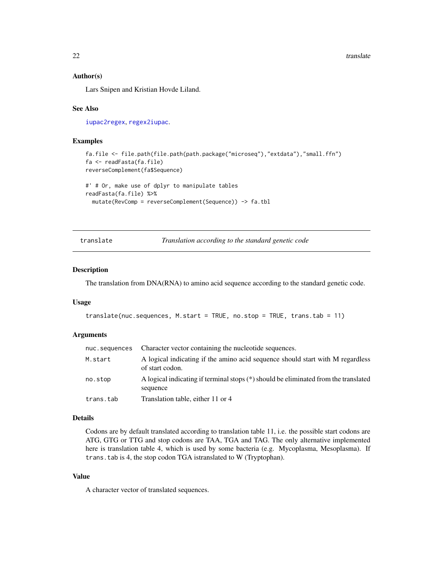<span id="page-21-0"></span> $22$  translate

#### Author(s)

Lars Snipen and Kristian Hovde Liland.

#### See Also

[iupac2regex](#page-9-1), [regex2iupac](#page-9-2).

# Examples

```
fa.file <- file.path(file.path(path.package("microseq"),"extdata"),"small.ffn")
fa <- readFasta(fa.file)
reverseComplement(fa$Sequence)
```

```
#' # Or, make use of dplyr to manipulate tables
readFasta(fa.file) %>%
 mutate(RevComp = reverseComplement(Sequence)) -> fa.tbl
```
translate *Translation according to the standard genetic code*

#### Description

The translation from DNA(RNA) to amino acid sequence according to the standard genetic code.

#### Usage

```
translate(nuc.sequences, M.start = TRUE, no.stop = TRUE, trans.tab = 11)
```
# Arguments

| nuc.sequences | Character vector containing the nucleotide sequences.                                             |
|---------------|---------------------------------------------------------------------------------------------------|
| M.start       | A logical indicating if the amino acid sequence should start with M regardless<br>of start codon. |
| no.stop       | A logical indicating if terminal stops (*) should be eliminated from the translated<br>sequence   |
| trans.tab     | Translation table, either 11 or 4                                                                 |

# Details

Codons are by default translated according to translation table 11, i.e. the possible start codons are ATG, GTG or TTG and stop codons are TAA, TGA and TAG. The only alternative implemented here is translation table 4, which is used by some bacteria (e.g. Mycoplasma, Mesoplasma). If trans.tab is 4, the stop codon TGA istranslated to W (Tryptophan).

#### Value

A character vector of translated sequences.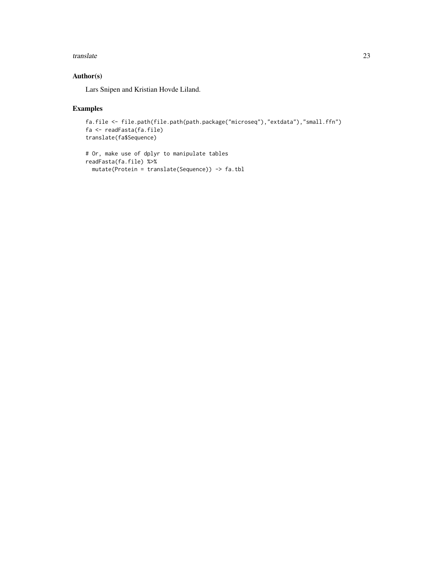#### translate 23

# Author(s)

Lars Snipen and Kristian Hovde Liland.

# Examples

```
fa.file <- file.path(file.path(path.package("microseq"),"extdata"),"small.ffn")
fa <- readFasta(fa.file)
translate(fa$Sequence)
```

```
# Or, make use of dplyr to manipulate tables
readFasta(fa.file) %>%
 mutate(Protein = translate(Sequence)) -> fa.tbl
```